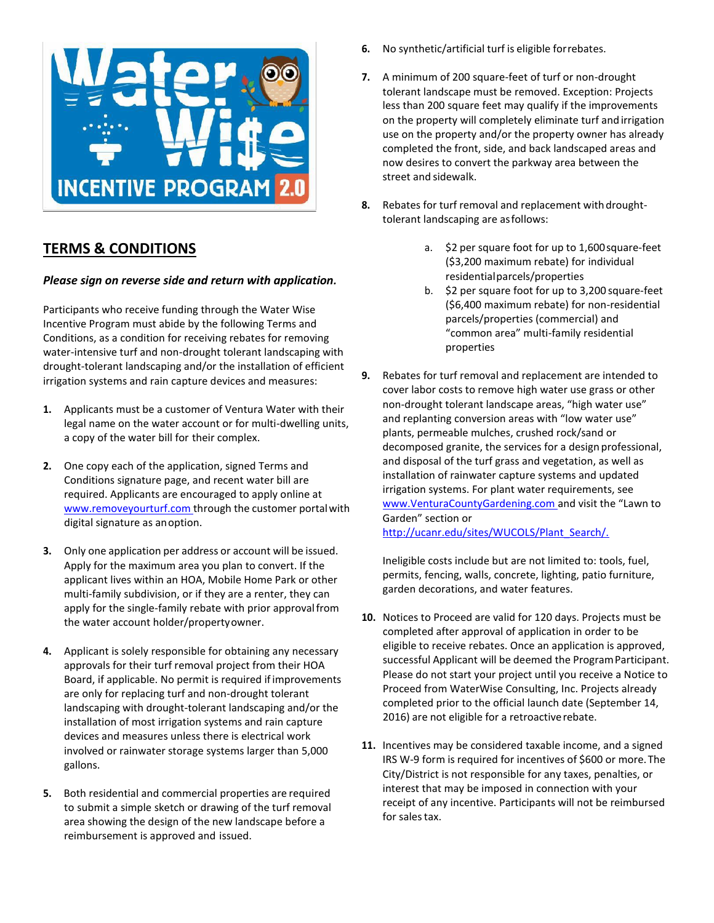

## **TERMS & CONDITIONS**

## *Please sign on reverse side and return with application.*

Participants who receive funding through the Water Wise Incentive Program must abide by the following Terms and Conditions, as a condition for receiving rebates for removing water-intensive turf and non-drought tolerant landscaping with drought-tolerant landscaping and/or the installation of efficient irrigation systems and rain capture devices and measures:

- **1.** Applicants must be a customer of Ventura Water with their legal name on the water account or for multi-dwelling units, a copy of the water bill for their complex.
- **2.** One copy each of the application, signed Terms and Conditions signature page, and recent water bill are required. Applicants are encouraged to apply online at [www.removeyourturf.com](http://www.removeyourturf.com/) through the customer portal with digital signature as anoption.
- **3.** Only one application per address or account will be issued. Apply for the maximum area you plan to convert. If the applicant lives within an HOA, Mobile Home Park or other multi-family subdivision, or if they are a renter, they can apply for the single-family rebate with prior approval from the water account holder/propertyowner.
- **4.** Applicant is solely responsible for obtaining any necessary approvals for their turf removal project from their HOA Board, if applicable. No permit is required ifimprovements are only for replacing turf and non-drought tolerant landscaping with drought-tolerant landscaping and/or the installation of most irrigation systems and rain capture devices and measures unless there is electrical work involved or rainwater storage systems larger than 5,000 gallons.
- **5.** Both residential and commercial properties are required to submit a simple sketch or drawing of the turf removal area showing the design of the new landscape before a reimbursement is approved and issued.
- **6.** No synthetic/artificial turf is eligible forrebates.
- **7.** A minimum of 200 square-feet of turf or non-drought tolerant landscape must be removed. Exception: Projects less than 200 square feet may qualify if the improvements on the property will completely eliminate turf and irrigation use on the property and/or the property owner has already completed the front, side, and back landscaped areas and now desires to convert the parkway area between the street and sidewalk.
- **8.** Rebates for turf removal and replacement with droughttolerant landscaping are asfollows:
	- a. \$2 per square foot for up to 1,600square-feet (\$3,200 maximum rebate) for individual residentialparcels/properties
	- b. \$2 per square foot for up to 3,200 square-feet (\$6,400 maximum rebate) for non-residential parcels/properties (commercial) and "common area" multi-family residential properties
- **9.** Rebates for turf removal and replacement are intended to cover labor costs to remove high water use grass or other non-drought tolerant landscape areas, "high water use" and replanting conversion areas with "low water use" plants, permeable mulches, crushed rock/sand or decomposed granite, the services for a design professional, and disposal of the turf grass and vegetation, as well as installation of rainwater capture systems and updated irrigation systems. For plant water requirements, see [www.VenturaCountyGardening.com](http://www.venturacountygardening.com/) and visit the "Lawn to Garden" section or [http://ucanr.edu/sites/WUCOLS/Plant\\_Search/.](http://ucanr.edu/sites/WUCOLS/Plant_Search/)

Ineligible costs include but are not limited to: tools, fuel, permits, fencing, walls, concrete, lighting, patio furniture, garden decorations, and water features.

- **10.** Notices to Proceed are valid for 120 days. Projects must be completed after approval of application in order to be eligible to receive rebates. Once an application is approved, successful Applicant will be deemed the ProgramParticipant. Please do not start your project until you receive a Notice to Proceed from WaterWise Consulting, Inc. Projects already completed prior to the official launch date (September 14, 2016) are not eligible for a retroactiverebate.
- **11.** Incentives may be considered taxable income, and a signed IRS W-9 form is required for incentives of \$600 or more. The City/District is not responsible for any taxes, penalties, or interest that may be imposed in connection with your receipt of any incentive. Participants will not be reimbursed for sales tax.